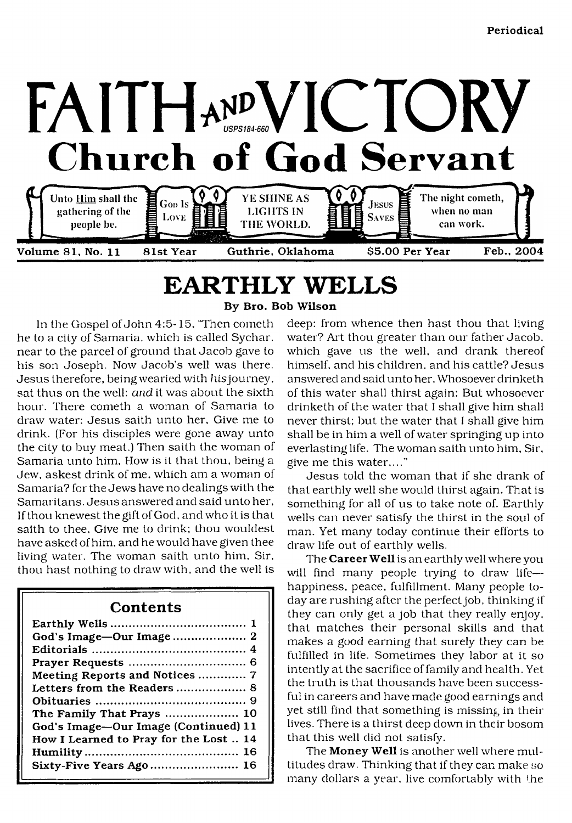

## <span id="page-0-0"></span>**EARTHLY WELLS** By Bro. Bob Wilson

In the Gospel of John 4:5-15. 'Then cometli he to a city of Samaria, which is called Sychar, near to the parcel of ground that Jacob gave to his son Joseph. Now Jacob's well was there. Jesus therefore, being wearied with his journey, sat thus on the well: *and* it was about the sixth hour. There cometh a woman of Samaria to draw water: Jesus saith unto her. Give me to drink. (For his disciples were gone away unto the city to buy meat.) Then saith the woman of Samaria unto him. How is it that thou, being a Jew, askest drink of me. which am a woman of Samaria? for the Jews have no dealings with the Samaritans. Jesus answered and said unto her. If thou knewestthegiftofGod, and who it is that saith to thee. Give me to drink; thou wouldest have asked of him. and he would have given thee living water. The woman saith unto him. Sir. thou hast nothing to draw with, and the well is

### **Contents**

| Meeting Reports and Notices  7         |
|----------------------------------------|
|                                        |
|                                        |
| The Family That Prays  10              |
| God's Image-Our Image (Continued) 11   |
| How I Learned to Pray for the Lost  14 |
|                                        |
| Sixty-Five Years Ago 16                |
|                                        |

deep: from whence then hast thou that living water? Art thou greater than our father Jacob, which gave us the well, and drank thereof himself, and his children, and his cattle? Jesus answered and said unto her. Whosoever drinketh of this water shall thirst again: But whosoever drinketh of the water that I shall give him shall never thirst; but the water that I shall give him shall be in him a well of water springing up into everlasting life. The woman saith unto him. Sir, give me this water,..."

Jesus told the woman that if she drank of that earthly well she would thirst again. That is something for all of us to take note of. Earthly wells can never satisfy the thirst in the soul of man. Yet many today continue their efforts to draw life out of earthly wells.

The Career Well is an earthly well where you will find many people trying to draw life happiness, peace, fulfillment. Many people today are rushing after the perfect job, thinking if they can only get a job that they really enjoy, that matches their personal skills and that makes a good earning that surely they can be fulfilled in life. Sometimes they labor at it so intently at the sacrifice of family and health. Yet the truth is that thousands have been successful in careers and have made good earnings and yet still find that something is missing in their lives. There is a thirst deep down in their bosom that this well did not satisfy.

The Money Well is another well where multitudes draw. Thinking that if they can make so many dollars a year, live comfortably with the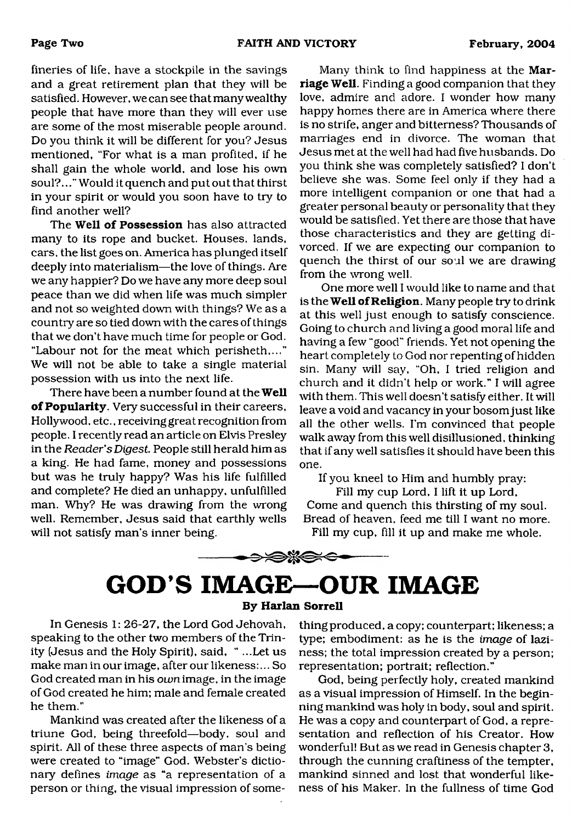fineries of life, have a stockpile in the savings and a great retirement plan that they will be satisfied. However, we can see that many wealthy people that have more than they will ever use are some of the most miserable people around. Do you think it will be different for you? Jesus mentioned, "For what is a man profited, if he shall gain the whole world, and lose his own soul?..." Would it quench and put out that thirst in your spirit or would you soon have to try to find another well?

The **Well of Possession** has also attracted many to its rope and bucket. Houses, lands, cars, the list goes on. America has plunged itself deeply into materialism—the love of things. Are we any happier? Do we have any more deep soul peace than we did when life was much simpler and not so weighted down with things? We as a country are so tied down with the cares of things that we don't have much time for people or God. "Labour not for the meat which perisheth,..." We will not be able to take a single material possession with us into the next life.

There have been a number found at the **Well of Popularity**. Very successful in their careers, Hollywood, etc., receiving great recognition from people. I recently read an article on Elvis Presley in the *Reader's Digest* People still herald him as a king. He had fame, money and possessions but was he truly happy? Was his life fulfilled and complete? He died an unhappy, unfulfilled man. Why? He was drawing from the wrong well. Remember, Jesus said that earthly wells will not satisfy man's inner being.

Many think to find happiness at the **Marriage Well.** Finding a good companion that they love, admire and adore. I wonder how many happy homes there are in America where there is no strife, anger and bitterness? Thousands of marriages end in divorce. The woman that Jesus met at the well had had five husbands. Do you think she was completely satisfied? I don't believe she was. Some feel only if they had a more intelligent companion or one that had a greater personal beauty or personality that they would be satisfied. Yet there are those that have those characteristics and they are getting divorced. If we are expecting our companion to quench the thirst of our soul we are drawing from the wrong well.

One more well I would like to name and that is the **Well of Religion.** Many people try to drink at this well just enough to satisfy conscience. Going to church and living a good moral life and having a few "good" friends. Yet not opening the heart completely to God nor repenting of hidden sin. Many will say, "Oh, I tried religion and church and it didn't help or work." I will agree with them. This well doesn't satisfy either. It will leave a void and vacancy in your bosom just like all the other wells. I'm convinced that people walk away from this well disillusioned, thinking that if any well satisfies it should have been this one.

If you kneel to Him and humbly pray:

Fill my cup Lord, I lift it up Lord, Come and quench this thirsting of my soul. Bread of heaven, feed me till I want no more. Fill my cup, fill it up and make me whole.

<span id="page-1-0"></span>

#### **By Harlan Sorrell**

In Genesis 1: 26-27, the Lord God Jehovah, speaking to the other two members of the Trinity (Jesus and the Holy Spirit), said, " ...Let us make man in our image, after our likeness:... So God created man in his *own* image, in the image of God created he him; male and female created he them."

Mankind was created after the likeness of a triune God, being threefold—body, soul and spirit. All of these three aspects of man's being were created to "image" God. Webster's dictionary defines *image* as "a representation of a person or thing, the visual impression of some-

thing produced, a copy; counterpart; likeness; a type; embodiment: as he is the *image* of laziness; the total impression created by a person; representation; portrait; reflection."

God, being perfectly holy, created mankind as a visual impression of Himself. In the beginning mankind was holy in body, soul and spirit. He was a copy and counterpart of God, a representation and reflection of his Creator. How wonderful! But as we read in Genesis chapter 3, through the cunning craftiness of the tempter, mankind sinned and lost that wonderful likeness of his Maker. In the fullness of time God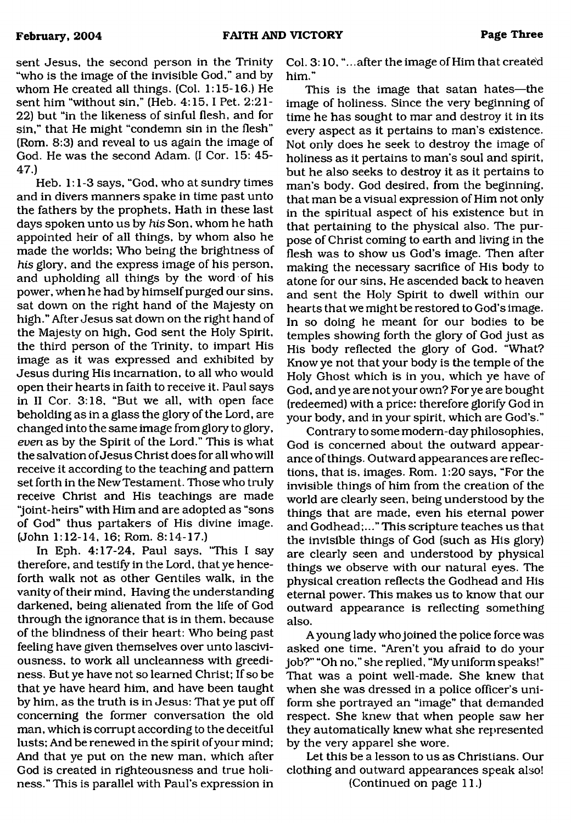sent Jesus, the second person in the Trinity "who is the image of the invisible God," and by whom He created all things. (Col. 1:15-16.) He sent him "without sin," (Heb. 4:15,1 Pet. 2:21- 22) but "in the likeness of sinful flesh, and for sin," that He might "condemn sin in the flesh" (Rom. 8:3) and reveal to us again the image of God. He was the second Adam. (I Cor. 15: 45- 47.)

Heb. 1:1-3 says, "God, who at sundry times and in divers manners spake in time past unto the fathers by the prophets. Hath in these last days spoken unto us by *his* Son, whom he hath appointed heir of all things, by whom also he made the worlds; Who being the brightness of *his* glory, and the express image of his person, and upholding all things by the word of his power, when he had by himself purged our sins, sat down on the right hand of the Majesty on high." After Jesus sat down on the right hand of the Majesty on high, God sent the Holy Spirit, the third person of the Trinity, to impart His image as it was expressed and exhibited by Jesus during His incarnation, to all who would open their hearts in faith to receive it. Paul says in II Cor. 3:18, "But we all, with open face beholding as in a glass the glory of the Lord, are changed into the same image from glory to glory, *even* as by the Spirit of the Lord." This is what the salvation of Jesus Christ does for all who will receive it according to the teaching and pattern set forth in the New Testament. Those who truly receive Christ and His teachings are made "joint-heirs" with Him and are adopted as "sons of God" thus partakers of His divine image. (John 1:12-14, 16; Rom. 8:14-17.)

In Eph. 4:17-24, Paul says, 'This I say therefore, and testify in the Lord, that ye henceforth walk not as other Gentiles walk, in the vanity of their mind, Having the understanding darkened, being alienated from the life of God through the ignorance that is in them, because of the blindness of their heart: Who being past feeling have given themselves over unto lasciviousness, to work all uncleanness with greediness. But ye have not so learned Christ; If so be that ye have heard him, and have been taught by him, as the truth is in Jesus: That ye put off concerning the former conversation the old man, which is corrupt according to the deceitful lusts; And be renewed in the spirit of your mind; And that ye put on the new man, which after God is created in righteousness and true holiness." This is parallel with Paul's expression in

Col. 3:10, "...after the image of Him that created him."

This is the image that satan hates—the image of holiness. Since the very beginning of time he has sought to mar and destroy it in its every aspect as it pertains to man's existence. Not only does he seek to destroy the image of holiness as it pertains to man's soul and spirit, but he also seeks to destroy it as it pertains to man's body. God desired, from the beginning, that man be a visual expression of Him not only in the spiritual aspect of his existence but in that pertaining to the physical also. The purpose of Christ coming to earth and living in the flesh was to show us God's image. Then after making the necessary sacrifice of His body to atone for our sins. He ascended back to heaven and sent the Holy Spirit to dwell within our hearts that we might be restored to God's image. In so doing he meant for our bodies to be temples showing forth the glory of God just as His body reflected the glory of God. "What? Know ye not that your body is the temple of the Holy Ghost which is in you, which ye have of God, and ye are not your own? For ye are bought (redeemed) with a price: therefore glorify God in your body, and in your spirit, which are God's."

Contrary to some modern-day philosophies, God is concerned about the outward appearance of things. Outward appearances are reflections, that is, images. Rom. 1:20 says, "For the invisible things of him from the creation of the world are clearly seen, being understood by the things that are made, even his eternal power and Godhead;..." This scripture teaches us that the invisible things of God (such as His glory) are clearly seen and understood by physical things we observe with our natural eyes. The physical creation reflects the Godhead and His eternal power. This makes us to know that our outward appearance is reflecting something also.

A young lady who joined the police force was asked one time, "Aren't you afraid to do your job?" "Oh no," she replied, "My uniform speaks!" That was a point well-made. She knew that when she was dressed in a police officer's uniform she portrayed an "image" that demanded respect. She knew that when people saw her they automatically knew what she represented by the very apparel she wore.

Let this be a lesson to us as Christians. Our clothing and outward appearances speak also! (Continued on page 11.)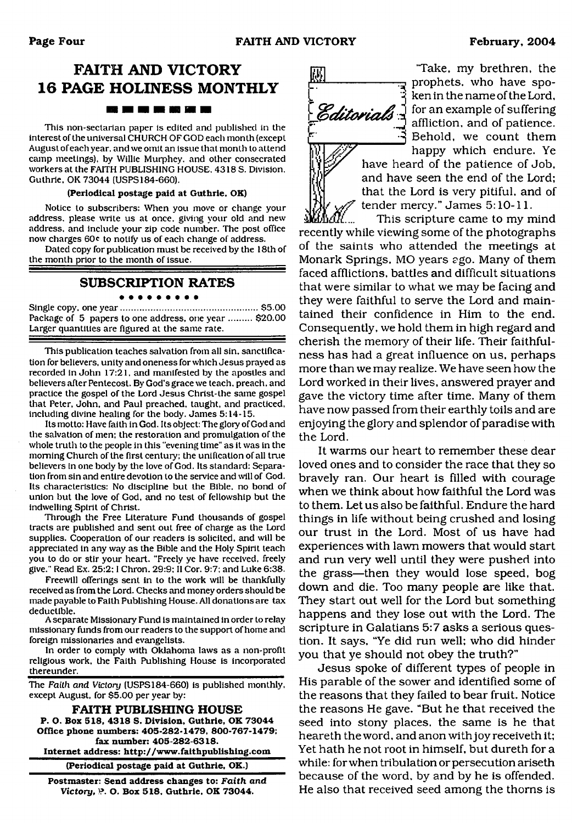## **FAITH AND VICTORY 16 PAGE HOLINESS MONTHLY BS DE 90 DE 80 DE 10**

This non-sectarian paper is edited and published in the interest of the universal CHURCH OF GOD each month (except August of each year, and we omit an issue that month to attend camp meetings), by Willie Murphey, and other consecrated workers at the FAITH PUBLISHING HOUSE. 4318 S. Division, Guthrie, OK 73044 (USPS184-660).

#### **(Periodical postage paid at Guthrie, OK)**

Notice to subscribers: When you move or change your address, please write us at once, giving your old and new address, and include your zip code number. The post office now charges 60c to notify us of each change of address.

Dated copy for publication must be received by the 18th of the month prior to the month of issue.

#### **SUBSCRIPTION RATES**

#### . . . . . . . . .

Single copy, one year...................................................... \$5.00 Package of 5 papers to one address, one year ......... \$20.00 Larger quantities are figured at the same rate.

This publication teaches salvation from all sin, sanctification for believers, unity and oneness for which Jesus prayed as recorded in John 17:21, and manifested by the apostles and believers after Pentecost. By God's grace we teach, preach, and practice the gospel of the Lord Jesus Christ-the same gospel that Peter. John, and Paul preached, taught, and practiced, including divine healing for the body. James 5:14-15.

Its motto: Have faith in God. Its object: The glory of God and the salvation of men; the restoration and promulgation of the whole truth to the people in this "evening time" as it was in the morning Church of the first century; the unification of all true believers in one body by the love of God. Its standard: Separation from sin and entire devotion to the service and will of God. Its characteristics: No discipline but the Bible, no bond of union but the love of God, and no test of fellowship but the indwelling Spirit of Christ.

Through the Free Literature Fund thousands of gospel tracts are published and sent out free of charge as the Lord supplies. Cooperation of our readers is solicited, and will be appreciated in any way as the Bible and the Holy Spirit teach you to do or stir your heart. "Freely ye have received, freely give." Read Ex. 25:2:1 Chron. 29:9; II Cor. 9:7: and Luke 6:38.

Freewill offerings sent in to the work will be thankfully received as from the Lord. Checks and money orders should be made payable to Faith Publishing House. All donations are tax deductible.

A separate Missionary Fund is maintained in order to relay missionary funds from our readers to the support of home and foreign missionaries and evangelists.

In order to comply with Oklahoma laws as a non-profit religious work, the Faith Publishing House is incorporated thereunder.

The *Faith and Victory* (USPS184-660) is published monthly, except August, for \$5.00 per year by:

**FAITH PUBLISHING HOUSE P. O. Box 518, 4318 S. Division. Guthrie. OK 73044 Office phone numbers: 405-282-1479, 800-767-1479; fax number: 405-282-6318.**

**Internet address: <http://www.faithpublishing.com>**

**(Periodical postage paid at Guthrie, OK.)**

**Postmaster: Send address changes to:** *Faith and Victory,)?.* **O. Box 518, Guthrie. OK 73044.**



'Take, my brethren, the prophets, who have spoken in the name of the Lord, **Editorials**  $\frac{1}{2}$  for an example of suffering affliction, and of patience. Behold, we count them happy which endure. Ye

have heard of the patience of Job, and have seen the end of the Lord; that the Lord is very pitiful, and of tender mercy." James 5:10-11.

This scripture came to my mind recently while viewing some of the photographs of the saints who attended the meetings at Monark Springs, MO years *ego.* Many of them faced afflictions, battles and difficult situations that were similar to what we may be facing and they were faithful to serve the Lord and maintained their confidence in Him to the end. Consequently, we hold them in high regard and cherish the memory of their life. Their faithfulness has had a great influence on us, perhaps more than we may realize. We have seen how the Lord worked in their lives, answered prayer and gave the victory time after time. Many of them have now passed from their earthly toils and are enjoying the glory and splendor of paradise with the Lord.

It warms our heart to remember these dear loved ones and to consider the race that they so bravely ran. Our heart is filled with courage when we think about how faithful the Lord was to them. Let us also be faithful. Endure the hard things in life without being crushed and losing our trust in the Lord. Most of us have had experiences with lawn mowers that would start and run very well until they were pushed into the grass—then they would lose speed, bog down and die. Too many people are like that. They start out well for the Lord but something happens and they lose out with the Lord. The scripture in Galatians 5:7 asks a serious question. It says, "Ye did run well; who did hinder you that ye should not obey the truth?"

Jesus spoke of different types of people in His parable of the sower and identified some of the reasons that they failed to bear fruit. Notice the reasons He gave. "But he that received the seed into stony places, the same is he that heareth the word, and anon with joy receiveth it; Yet hath he not root in himself, but dureth for a while: for when tribulation or persecution ariseth because of the word, by and by he is offended. He also that received seed among the thorns is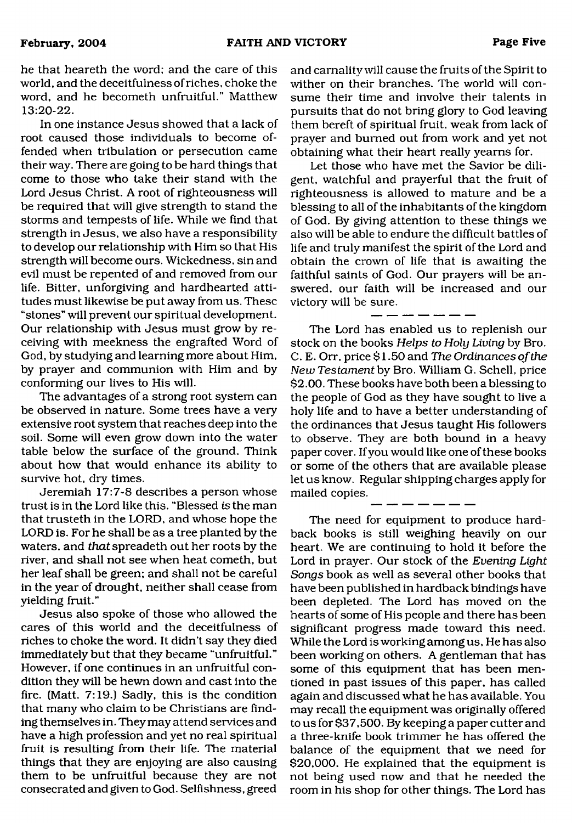he that heareth the word; and the care of this world, and the deceitfulness of riches, choke the word, and he becometh unfruitful." Matthew 13:20-22.

In one instance Jesus showed that a lack of root caused those individuals to become offended when tribulation or persecution came their way. There are going to be hard things that come to those who take their stand with the Lord Jesus Christ. A root of righteousness will be required that will give strength to stand the storms and tempests of life. While we find that strength in Jesus, we also have a responsibility to develop our relationship with Him so that His strength will become ours. Wickedness, sin and evil must be repented of and removed from our life. Bitter, unforgiving and hardhearted attitudes must likewise be put away from us. These "stones" will prevent our spiritual development. Our relationship with Jesus must grow by receiving with meekness the engrafted Word of God, by studying and learning more about Him, by prayer and communion with Him and by conforming our lives to His will.

The advantages of a strong root system can be observed in nature. Some trees have a very extensive root system that reaches deep into the soil. Some will even grow down into the water table below the surface of the ground. Think about how that would enhance its ability to survive hot, dry times.

Jeremiah 17:7-8 describes a person whose trust is in the Lord like this. "Blessed *is* the man that trusteth in the LORD, and whose hope the LORD is. For he shall be as a tree planted by the waters, and *that* spreadeth out her roots by the river, and shall not see when heat cometh, but her leaf shall be green: and shall not be careful in the year of drought, neither shall cease from yielding fruit."

Jesus also spoke of those who allowed the cares of this world and the deceitfulness of riches to choke the word. It didn't say they died immediately but that they became "unfruitful." However, if one continues in an unfruitful condition they will be hewn down and cast into the fire. (Matt. 7:19.) Sadly, this is the condition that many who claim to be Christians are finding themselves in. They may attend services and have a high profession and yet no real spiritual fruit is resulting from their life. The material things that they are enjoying are also causing them to be unfruitful because they are not consecrated and given to God. Selfishness, greed

and carnality will cause the fruits of the Spirit to wither on their branches. The world will consume their time and involve their talents in pursuits that do not bring glory to God leaving them bereft of spiritual fruit, weak from lack of prayer and burned out from work and yet not obtaining what their heart really yearns for.

Let those who have met the Savior be diligent, watchful and prayerful that the fruit of righteousness is allowed to mature and be a blessing to all of the inhabitants of the kingdom of God. By giving attention to these things we also will be able to endure the difficult battles of life and truly manifest the spirit of the Lord and obtain the crown of life that is awaiting the faithful saints of God. Our prayers will be answered, our faith will be increased and our victory will be sure.

------

The Lord has enabled us to replenish our stock on the books *Helps to Holy Living* by Bro. C. E. Orr, price \$1.50 and *The Ordinances of the New Testament* by Bro. William G. Schell, price \$2.00. These books have both been a blessing to the people of God as they have sought to live a holy life and to have a better understanding of the ordinances that Jesus taught His followers to observe. They are both bound in a heavy paper cover. If you would like one of these books or some of the others that are available please let us know. Regular shipping charges apply for mailed copies.

The need for equipment to produce hardback books is still weighing heavily on our heart. We are continuing to hold it before the Lord in prayer. Our stock of the *Evening Light Songs* book as well as several other books that have been published in hardback bindings have been depleted. The Lord has moved on the hearts of some of His people and there has been significant progress made toward this need. While the Lord is working among us. He has also been working on others. A gentleman that has some of this equipment that has been mentioned in past issues of this paper, has called again and discussed what he has available. You may recall the equipment was originally offered to us for \$37,500. By keeping a paper cutter and a three-knife book trimmer he has offered the balance of the equipment that we need for \$20,000. He explained that the equipment is not being used now and that he needed the room in his shop for other things. The Lord has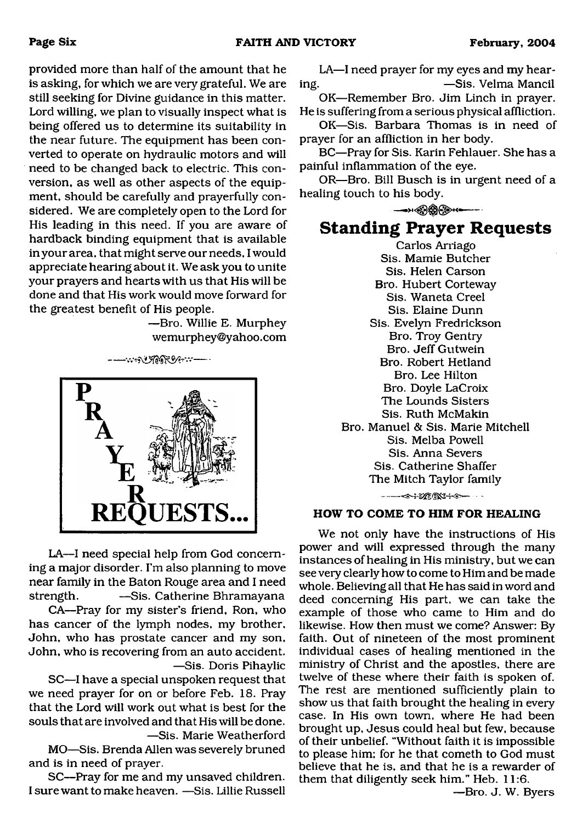provided more than half of the amount that he is asking, for which we are very grateful. We are still seeking for Divine guidance in this matter. Lord willing, we plan to visually inspect what is being offered us to determine its suitability in the near future. The equipment has been converted to operate on hydraulic motors and will need to be changed back to electric. This conversion, as well as other aspects of the equipment, should be carefully and prayerfully considered. We are completely open to the Lord for His leading in this need. If you are aware of hardback binding equipment that is available in your area, that might serve our needs, I would appreciate hearing about it. We ask you to unite your prayers and hearts with us that His will be done and that His work would move forward for the greatest benefit of His people.

> —Bro. Willie E. Murphey wemurphey@y ahoo. com





LA—I need special help from God concerning a major disorder. I'm also planning to move near family in the Baton Rouge area and I need strength. —Sis. Catherine Bhramayana

CA—Pray for my sister's friend, Ron, who has cancer of the lymph nodes, my brother, John, who has prostate cancer and my son, John, who is recovering from an auto accident. —Sis. Doris Pihaylic

SC—I have a special unspoken request that we need prayer for on or before Feb. 18. Pray that the Lord will work out what is best for the souls that are involved and that His will be done. —Sis. Marie Weatherford

MO—Sis. Brenda Allen was severely bruned and is in need of prayer.

SC—Pray for me and my unsaved children. I sure want to make heaven. —Sis. Lillie Russell

LA—I need prayer for my eyes and my hearing. —Sis. Velma Mancil

OK—Remember Bro. Jim Linch in prayer. He is suffering from a serious physical affliction.

OK—Sis. Barbara Thomas is in need of prayer for an affliction in her body.

BC—Pray for Sis. Karin Fehlauer. She has a painful inflammation of the eye.

OR—Bro. Bill Busch is in urgent need of a healing touch to his body.

— ----

## **Standing Prayer Requests**

Carlos Arriago Sis. Mamie Butcher Sis. Helen Carson Bro. Hubert Corteway Sis. Waneta Creel Sis. Elaine Dunn Sis. Evelyn Fredrickson Bro. Troy Gentry Bro. Jeff Gutwein Bro. Robert Hetland Bro. Lee Hilton Bro. Doyle LaCroix The Lounds Sisters Sis. Ruth McMakin Bro. Manuel & Sis. Marie Mitchell Sis. Melba Powell Sis. Anna Severs Sis. Catherine Shaffer The Mitch Taylor family 

#### **HOW TO COME TO HIM FOR HEALING**

We not only have the instructions of His power and will expressed through the many instances of healing in His ministry, but we can see very clearly how to come to Him and be made whole. Believing all that He has said in word and deed concerning His part, we can take the example of those who came to Him and do likewise. How then must we come? Answer: By faith. Out of nineteen of the most prominent individual cases of healing mentioned in the ministry of Christ and the apostles, there are twelve of these where their faith is spoken of. The rest are mentioned sufficiently plain to show us that faith brought the healing in every case. In His own town, where He had been brought up, Jesus could heal but few, because of their unbelief. "Without faith it is impossible to please him: for he that cometh to God must believe that he is, and that he is a rewarder of them that diligently seek him." Heb. 11:6.

—Bro. J. W. Byers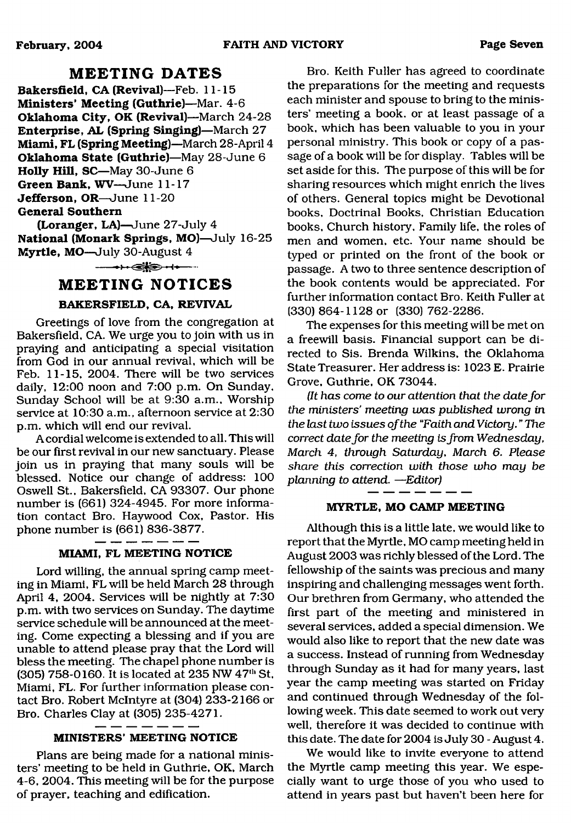## **MEETING DATES**

**Bakersfield, CA (Revival)**—Feb. 11-15 **Ministers' Meeting (Guthrie)**—Mar. 4-6 **Oklahoma City, OK (Revival)**—March 24-28 **Enterprise, AL (Spring Singing)**—March 27 **Miami, FL (Spring Meeting)**—March 28-April 4 **Oklahoma State (Guthrie)**—May 28-June 6 **Holly Hill, SC**—May 30-June 6 **Green Bank, WV**—June 11-17 **Jefferson, OR**—June 11-20 **General Southern**

**(Loranger, LA)**—June 27-July 4 **National (Monark Springs, MO)**—July 16-25 **Myrtle, MO**—July 30-August 4

 $- + -$ 

### **MEETING NOTICES**

#### **BAKERSFIELD, CA, REVIVAL**

Greetings of love from the congregation at Bakersfield, CA. We urge you to join with us in praying and anticipating a special visitation from God in our annual revival, which will be Feb. 11-15, 2004. There will be two services daily, 12:00 noon and 7:00 p.m. On Sunday. Sunday School will be at 9:30 a.m.. Worship service at 10:30 a.m., afternoon service at 2:30 p.m. which will end our revival.

A cordial welcome is extended to all. This will be our first revival in our new sanctuary. Please join us in praying that many souls will be blessed. Notice our change of address: 100 Oswell St., Bakersfield, CA 93307. Our phone number is (661) 324-4945. For more information contact Bro. Haywood Cox, Pastor. His phone number is (661) 836-3877.

#### **MIAMI, FL MEETING NOTICE**

Lord willing, the annual spring camp meeting in Miami, FL will be held March 28 through April 4, 2004. Services will be nightly at 7:30 p.m. with two services on Sunday. The daytime service schedule will be announced at the meeting. Come expecting a blessing and if you are unable to attend please pray that the Lord will bless the meeting. The chapel phone number is (305) 758-0160. It is located at 235 NW 47<sup>th</sup> St, Miami, FL. For further information please contact Bro. Robert McIntyre at (304) 233-2166 or Bro. Charles Clay at (305) 235-4271.

#### **MINISTERS' MEETING NOTICE**

Plans are being made for a national ministers' meeting to be held in Guthrie, OK, March 4-6, 2004. This meeting will be for the purpose of prayer, teaching and edification.

Bro. Keith Fuller has agreed to coordinate the preparations for the meeting and requests each minister and spouse to bring to the ministers' meeting a book, or at least passage of a book, which has been valuable to you in your personal ministry. This book or copy of a passage of a book will be for display. Tables will be set aside for this. The purpose of this will be for sharing resources which might enrich the lives of others. General topics might be Devotional books, Doctrinal Books, Christian Education books. Church history. Family life, the roles of men and women, etc. Your name should be typed or printed on the front of the book or passage. A two to three sentence description of the book contents would be appreciated. For further information contact Bro. Keith Fuller at (330) 864-1128 or (330) 762-2286.

The expenses for this meeting will be met on a freewill basis. Financial support can be directed to Sis. Brenda Wilkins, the Oklahoma State Treasurer. Her address is: 1023 E. Prairie Grove, Guthrie, OK 73044.

*(It has come to our attention that the date for the ministers' meeting was published wrong in the last two issues of the "Faith and Victory.* " *The correct date for the meeting is from Wednesday, March 4, through Saturday, March 6. Please share this correction with those who may be planning to attend.* —*Editor)*

#### **MYRTLE, MO CAMP MEETING**

Although this is a little late, we would like to report that the Myrtle, MO camp meeting held in August 2003 was richly blessed of the Lord. The fellowship of the saints was precious and many inspiring and challenging messages went forth. Our brethren from Germany, who attended the first part of the meeting and ministered in several services, added a special dimension. We would also like to report that the new date was a success. Instead of running from Wednesday through Sunday as it had for many years, last year the camp meeting was started on Friday and continued through Wednesday of the following week. This date seemed to work out very well, therefore it was decided to continue with this date. The date for 2004 is July 30 - August 4.

We would like to invite everyone to attend the Myrtle camp meeting this year. We especially want to urge those of you who used to attend in years past but haven't been here for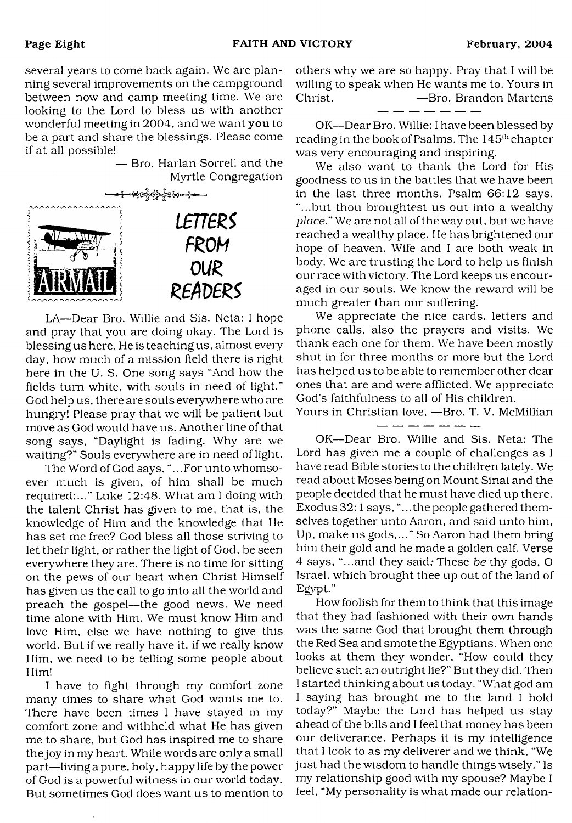several years to come back again. We are planning several improvements on the campground between now and camp meeting time. We are looking to the Lord to bless us with another wonderful meeting in 2004, and we want you to be a part and share the blessings. Please come if at all possible!

— Bro. Harlan Sorrell and the Myrtle Congregation



LA— Dear Bro. Willie and Sis. Neta: I hope and pray that you are doing okay. The Lord is blessing us here. He is teaching us, almost every day, how much of a mission field there is right here in the U. S. One song says "And how the fields turn white, with souls in need of light." God help us, there are souls everywhere who are hungry! Please pray that we will be patient but move as God would have us. Another line of that song says, "Daylight is fading. Why are we waiting?" Souls everywhere are in need of light.

The Word of God says, "...For unto whomsoever much is given, of him shall be much required:..." Luke 12:48. What am I doing with the talent Christ has given to me, that is, the knowledge of Him and the knowledge that He has set me free? God bless all those striving to let their light, or rather the light of God, be seen everywhere they are. There is no time for sitting on the pews of our heart when Christ Himself has given us the call to go into all the world and preach the gospel— the good news. We need time alone with Him. We must know Him and love Him, else we have nothing to give this world. But if we really have it. if we really know Him, we need to be telling some people about Him!

I have to fight through my comfort zone many times to share what God wants me to. There have been times I have stayed in my comfort zone and withheld what He has given me to share, but God has inspired me to share the joy in my heart. While words are only a small part—living a pure, holy, happy life by the power of God is a powerful witness in our world today. But sometimes God does want us to mention to

others why we are so happy. Pray that I will be willing to speak when He wants me to. Yours in Christ. — <del>D</del>ro. Brandon Martens

OK—Dear Bro. Willie: I have been blessed by reading in the book of Psalms. The 145<sup>th</sup> chapter was veiy encouraging and inspiring.

We also want to thank the Lord for His goodness to us in the battles that we have been in the last three months. Psalm 66:12 says, "...but thou broughtest us out into a wealthy *place."* We are not all of the way out. but we have reached a wealthy place. He has brightened our hope of heaven. Wife and I are both weak in body. We are trusting the Lord to help us finish our race with victory. The Lord keeps us encouraged in our souls. We know the reward will be much greater than our suffering.

We appreciate the nice cards, letters and phone calls, also the prayers and visits. We thank each one for them. We have been mostly shut in for three months or more but the Lord has helped us to be able to remember other dear ones that are and were afflicted. We appreciate God's faithfulness to all of His children.

Yours in Christian love, — Bro. T. V. McMillian للمسابقين علما عشر عشر وللداء

OK— Dear Bro. Willie and Sis. Neta: The Lord has given me a couple of challenges as I have read Bible stories to the children lately. We read about Moses being on Mount Sinai and the people decided that he must have died up there. Exodus 32:1 says, "...the people gathered themselves together unto Aaron, and said unto him, Up, make us gods,..." So Aaron had them bring him their gold and he made a golden calf. Verse 4 says, "...and they said; These *be* thy gods, O Israel, which brought thee up out of the land of Egypt."

How foolish for them to think that this image that they had fashioned with their own hands was the same God that brought them through the Red Sea and smote the Egyptians. When one looks at them they wonder, "How could they believe such an outright lie?" But they did. Then I started thinking about us today. "What god am I saying has brought me to the land I hold today?" Maybe the Lord has helped us stay ahead of the bills and I feel that money has been our deliverance. Perhaps it is my intelligence that I look to as my deliverer and we think, "We just had the wisdom to handle things wisely." Is my relationship good with my spouse? Maybe I feel, "My personality is what made our relation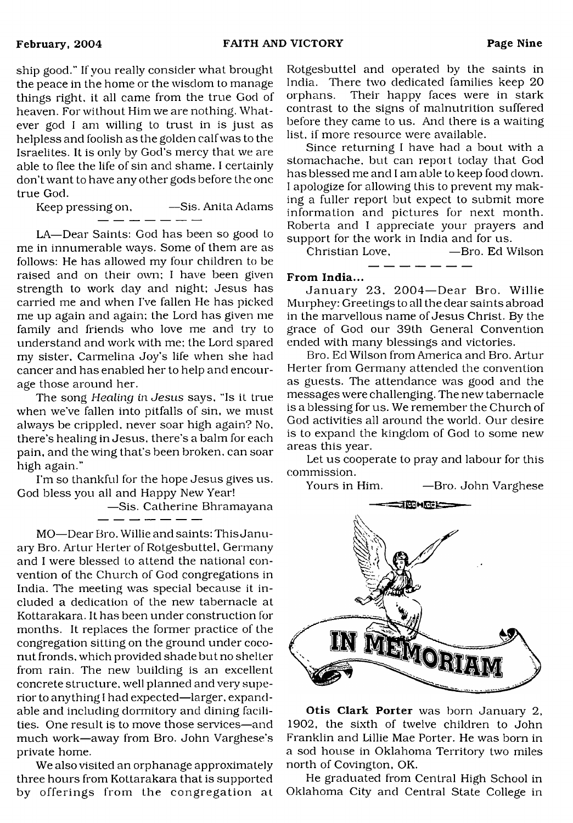ship good." If you really consider what brought the peace in the home or the wisdom to manage things right, it all came from the true God of heaven. For without Him we are nothing. Whatever god I am willing to trust in is just as helpless and foolish as the golden calf was to the Israelites. It is only by God's mercy that we are able to flee the life of sin and shame. I certainly don't want to have any other gods before the one true God.

Keep pressing on,  $-$ Sis. Anita Adams<br> $-$ 

LA— Dear Saints: God has been so good to me in innumerable ways. Some of them are as follows: He has allowed my four children to be raised and on their own; I have been given strength to work day and night; Jesus has carried me and when I've fallen He has picked me up again and again; the Lord has given me family and friends who love me and try to understand and work with me; the Lord spared my sister, Carmelina Joy's life when she had cancer and has enabled her to help and encourage those around her.

The song *Healing in Jesus* says, "Is it true when we've fallen into pitfalls of sin, we must always be crippled, never soar high again? No, there's healing in Jesus, there's a balm for each pain, and the wing that's been broken, can soar high again."

I'm so thankful for the hope Jesus gives us. God bless you all and Happy New Year!

—Sis. Catherine Bhramayana

<u>المساحي المساحي المنابع المساحي المساحي</u>

MO— Dear Bro. Willie and saints: This January Bro. Artur Herter of Rotgesbuttel, Germany and I were blessed to attend the national convention of the Church of God congregations in India. The meeting was special because it included a dedication of the new tabernacle at Kottarakara. It has been under construction for months. It replaces the former practice of the congregation sitting on the ground under coconut fronds, which provided shade but no shelter from rain. The new building is an excellent concrete structure, well planned and very superior to anything I had expected— larger, expandable and including dormitory and dining facilities. One result is to move those services—and much work—away from Bro. John Varghese's private home.

We also visited an orphanage approximately three hours from Kottarakara that is supported by offerings from the congregation at Rotgesbuttel and operated by the saints in India. There two dedicated families keep 20 orphans. Their happy faces were in stark contrast to the signs of malnutrition suffered before they came to us. And there is a waiting list, if more resource were available.

Since returning I have had a bout with a stomachache, but can report today that God has blessed me and I am able to keep food down. I apologize for allowing this to prevent my making a fuller report but expect to submit more information and pictures for next month. Roberta and I appreciate your prayers and support for the work in India and for us.

Christian Love, — Bro. Ed Wilson

#### From India...

January 23, 2004—Dear Bro. Willie Murphey: Greetings to all the dear saints abroad in the marvellous name of Jesus Christ. By the grace of God our 39th General Convention ended with many blessings and victories.

Bro. Ed Wilson from America and Bro. Artur Herter from Germany attended the convention as guests. The attendance was good and the messages were challenging. The new tabernacle is a blessing for us. We remember the Church of God activities all around the world. Our desire is to expand the kingdom of God to some new areas this year.

Let us cooperate to pray and labour for this commission.

Yours in Him. — Bro. John Varghese



Otis Clark Porter was born January 2, 1902, the sixth of twelve children to John Franklin and Lillie Mae Porter. He was bom in a sod house in Oklahoma Territory two miles north of Covington, OK.

He graduated from Central High School in Oklahoma City and Central State College in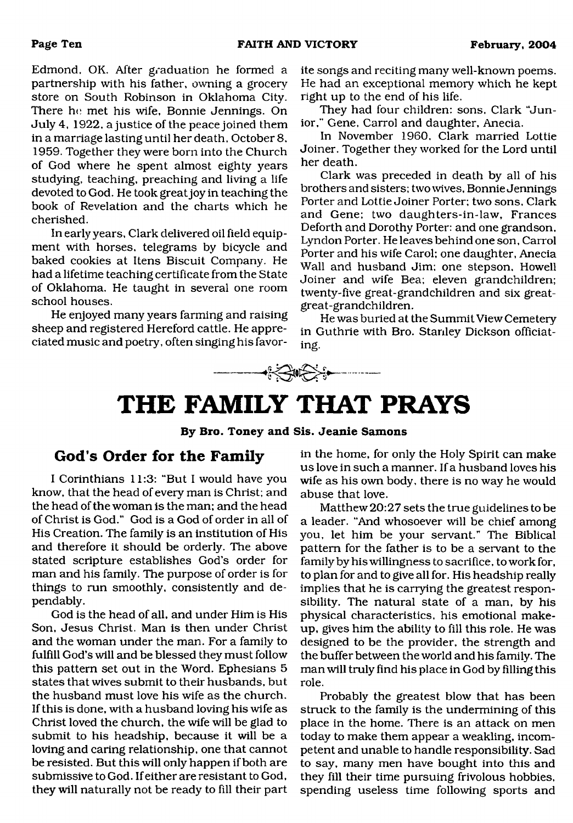Edmond, OK. After graduation he formed a partnership with his father, owning a grocery store on South Robinson in Oklahoma City. There he met his wife, Bonnie Jennings. On July 4, 1922, a justice of the peace joined them in a marriage lasting until her death, October 8, 1959. Together they were bom into the Church of God where he spent almost eighty years studying, teaching, preaching and living a life devoted to God. He took great joy in teaching the book of Revelation and the charts which he cherished.

In early years, Clark delivered oil field equipment with horses, telegrams by bicycle and baked cookies at Itens Biscuit Company. He had a lifetime teaching certificate from the State of Oklahoma. He taught in several one room school houses.

He enjoyed many years farming and raising sheep and registered Hereford cattle. He appreciated music and poetry, often singing his favorite songs and reciting many well-known poems. He had an exceptional memory which he kept right up to the end of his life.

They had four children: sons, Clark "Junior," Gene, Carrol and daughter, Anecia.

In November 1960, Clark married Lottie Joiner. Together they worked for the Lord until her death.

Clark was preceded in death by all of his brothers and sisters: two wives, Bonnie Jennings Porter and Lottie Joiner Porter; two sons, Clark and Gene; two daughters-in-law, Frances Deforth and Dorothy Porter: and one grandson, Lyndon Porter. He leaves behind one son, Carrol Porter and his wife Carol; one daughter, Anecia Wall and husband Jim; one stepson, Howell Joiner and wife Bea; eleven grandchildren; twenty-five great-grandchildren and six greatgreat-grandchildren.

He was buried at the Summit View Cemetery in Guthrie with Bro. Stanley Dickson officiating.



# <span id="page-9-0"></span>**THE FAMILY THAT PRAYS**

**By Bro. Toney and Sis. Jeanie Samons**

## **God's Order for the Family**

I Corinthians 11:3: "But I would have you know, that the head of every man is Christ; and the head of the woman is the man; and the head of Christ is God." God is a God of order in all of His Creation. The family is an institution of His and therefore it should be orderly. The above stated scripture establishes God's order for man and his family. The purpose of order is for things to run smoothly, consistently and dependably.

God is the head of all, and under Him is His Son, Jesus Christ. Man is then under Christ and the woman under the man. For a family to fulfill God's will and be blessed they must follow this pattern set out in the Word. Ephesians 5 states that wives submit to their husbands, but the husband must love his wife as the church. If this is done, with a husband loving his wife as Christ loved the church, the wife will be glad to submit to his headship, because it will be a loving and caring relationship, one that cannot be resisted. But this will only happen if both are submissive to God. If either are resistant to God, they will naturally not be ready to fill their part in the home, for only the Holy Spirit can make us love in such a manner. If a husband loves his wife as his own body, there is no way he would abuse that love.

Matthew 20:27 sets the true guidelines to be a leader. "And whosoever will be chief among you, let him be your servant." The Biblical pattern for the father is to be a servant to the family by his willingness to sacrifice, to work for, to plan for and to give all for. His headship really implies that he is carrying the greatest responsibility. The natural state of a man, by his physical characteristics, his emotional makeup, gives him the ability to fill this role. He was designed to be the provider, the strength and the buffer between the world and his family. The man will truly find his place in God by filling this role.

Probably the greatest blow that has been struck to the family is the undermining of this place in the home. There is an attack on men today to make them appear a weakling, incompetent and unable to handle responsibility. Sad to say, many men have bought into this and they fill their time pursuing frivolous hobbies, spending useless time following sports and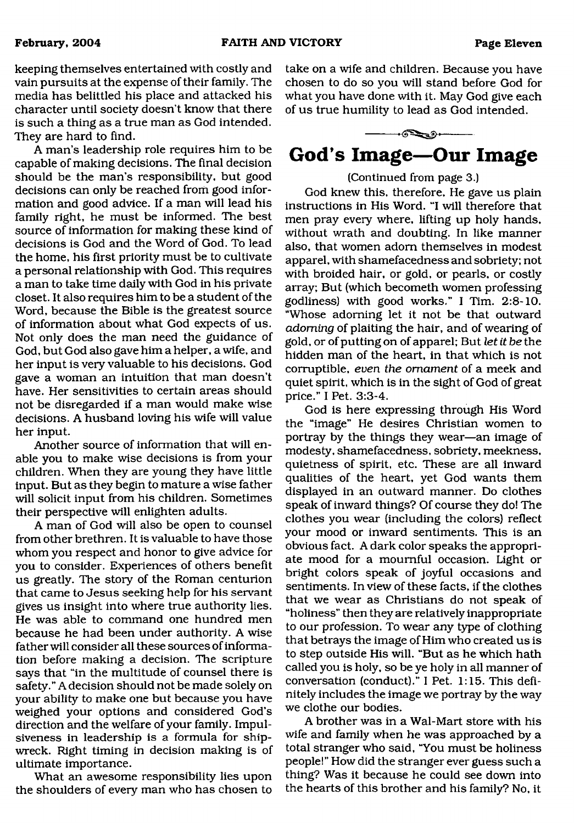keeping themselves entertained with costly and vain pursuits at the expense of their family. The media has belittled his place and attacked his character until society doesn't know that there is such a thing as a true man as God intended. They are hard to find.

A man's leadership role requires him to be capable of making decisions. The final decision should be the man's responsibility, but good decisions can only be reached from good information and good advice. If a man will lead his family right, he must be informed. The best source of information for making these kind of decisions is God and the Word of God. To lead the home, his first priority must be to cultivate a personal relationship with God. This requires a man to take time daily with God in his private closet. It also requires him to be a student of the Word, because the Bible is the greatest source of information about what God expects of us. Not only does the man need the guidance of God, but God also gave him a helper, a wife, and her input is very valuable to his decisions. God gave a woman an intuition that man doesn't have. Her sensitivities to certain areas should not be disregarded if a man would make wise decisions. A husband loving his wife will value her input.

Another source of information that will enable you to make wise decisions is from your children. When they are young they have little input. But as they begin to mature a wise father will solicit input from his children. Sometimes their perspective will enlighten adults.

A man of God will also be open to counsel from other brethren. It is valuable to have those whom you respect and honor to give advice for you to consider. Experiences of others benefit us greatly. The story of the Roman centurion that came to Jesus seeking help for his servant gives us insight into where true authority lies. He was able to command one hundred men because he had been under authority. A wise father will consider all these sources of information before making a decision. The scripture says that "in the multitude of counsel there is safety." A decision should not be made solely on your ability to make one but because you have weighed your options and considered God's direction and the welfare of your family. Impulsiveness in leadership is a formula for shipwreck. Right timing in decision making is of ultimate importance.

What an awesome responsibility lies upon the shoulders of every man who has chosen to take on a wife and children. Because you have chosen to do so you will stand before God for what you have done with it. May God give each of us true humility to lead as God intended.



### (Continued from page 3.)

God knew this, therefore, He gave us plain instructions in His Word. "I will therefore that men pray every where, lifting up holy hands, without wrath and doubting. In like manner also, that women adorn themselves in modest apparel, with shamefacedness and sobriety; not with broided hair, or gold, or pearls, or costly array; But (which becometh women professing godliness) with good works." I Tim. 2:8-10. "Whose adorning let it not be that outward *adorning* of plaiting the hair, and of wearing of gold, or of putting on of apparel; But *let it be* the hidden man of the heart, in that which is not corruptible, *even the ornament* of a meek and quiet spirit, which is in the sight of God of great price." I Pet. 3:3-4.

God is here expressing through His Word the "image" He desires Christian women to portray by the things they wear—an image of modesty, shamefacedness, sobriety, meekness, quietness of spirit, etc. These are all inward qualities of the heart, yet God wants them displayed in an outward manner. Do clothes speak of inward things? Of course they do! The clothes you wear (including the colors) reflect your mood or inward sentiments. This is an obvious fact. A dark color speaks the appropriate mood for a mournful occasion. Light or bright colors speak of joyful occasions and sentiments. In view of these facts, if the clothes that we wear as Christians do not speak of "holiness" then they are relatively inappropriate to our profession. To wear any type of clothing that betrays the image of Him who created us is to step outside His will. "But as he which hath called you is holy, so be ye holy in all manner of conversation (conduct)." I Pet. 1:15. This definitely includes the image we portray by the way we clothe our bodies.

A brother was in a Wal-Mart store with his wife and family when he was approached by a total stranger who said, "You must be holiness people!" How did the stranger ever guess such a thing? Was it because he could see down into the hearts of this brother and his family? No, it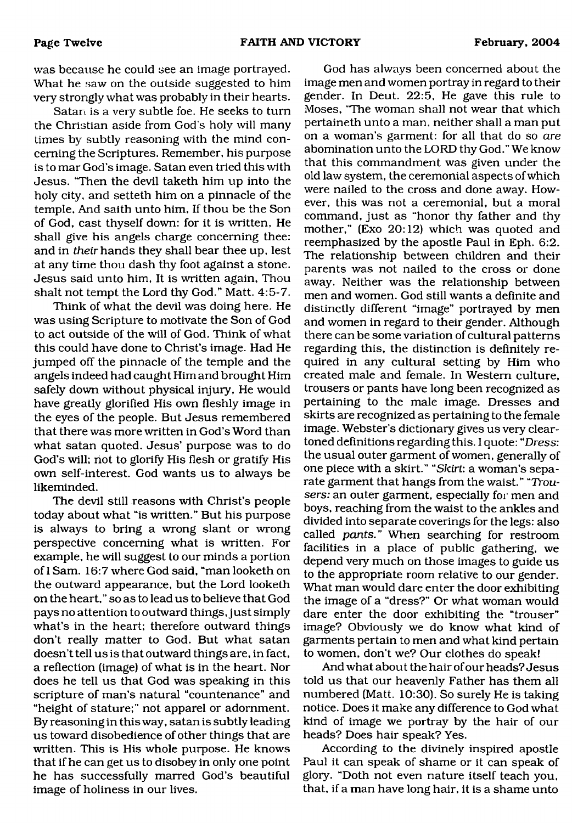was because he could see an image portrayed. What he saw on the outside suggested to him very strongly what was probably in their hearts.

Satan is a very subtle foe. He seeks to turn the Christian aside from God's holy will many times by subtly reasoning with the mind concerning the Scriptures. Remember, his purpose is to mar God's image. Satan even tried this with Jesus. "Then the devil taketh him up into the holy city, and setteth him on a pinnacle of the temple. And saith unto him, If thou be the Son of God, cast thyself down: for it is written, He shall give his angels charge concerning thee: and in *their* hands they shall bear thee up, lest at any time thou dash thy foot against a stone. Jesus said unto him. It is written again. Thou shalt not tempt the Lord thy God." Matt. 4:5-7.

Think of what the devil was doing here. He was using Scripture to motivate the Son of God to act outside of the will of God. Think of what this could have done to Christ's image. Had He jumped off the pinnacle of the temple and the angels indeed had caught Him and brought Him safely down without physical injury, He would have greatly glorified His own fleshly image in the eyes of the people. But Jesus remembered that there was more written in God's Word than what satan quoted. Jesus' purpose was to do God's will; not to glorify His flesh or gratify His own self-interest. God wants us to always be likeminded.

The devil still reasons with Christ's people today about what "is written." But his purpose is always to bring a wrong slant or wrong perspective concerning what is written. For example, he will suggest to our minds a portion of I Sam. 16:7 where God said, "man looketh on the outward appearance, but the Lord looketh on the heart," so as to lead us to believe that God pays no attention to outward things, just simply what's in the heart; therefore outward things don't really matter to God. But what satan doesn't tell us is that outward things are, in fact, a reflection (image) of what is in the heart. Nor does he tell us that God was speaking in this scripture of man's natural "countenance" and "height of stature;" not apparel or adornment. By reasoning in this way, satan is subtly leading us toward disobedience of other things that are written. This is His whole purpose. He knows that if he can get us to disobey in only one point he has successfully marred God's beautiful image of holiness in our lives.

God has always been concerned about the image men and women portray in regard to their gender. In Deut. 22:5, He gave this rule to Moses, "The woman shall not wear that which pertaineth unto a man, neither shall a man put on a woman's garment: for all that do so *are* abomination unto the LORD thy God." We know that this commandment was given under the old law system, the ceremonial aspects of which were nailed to the cross and done away. However, this was not a ceremonial, but a moral command, just as "honor thy father and thy mother," (Exo 20:12) which was quoted and reemphasized by the apostle Paul in Eph. 6:2. The relationship between children and their parents was not nailed to the cross or done away. Neither was the relationship between men and women. God still wants a definite and distinctly different "image" portrayed by men and women in regard to their gender. Although there can be some variation of cultural patterns regarding this, the distinction is definitely required in any cultural setting by Him who created male and female. In Western culture, trousers or pants have long been recognized as pertaining to the male image. Dresses and skirts are recognized as pertaining to the female image. Webster's dictionary gives us very cleartoned definitions regarding this. I quote: "Dress: the usual outer garment of women, generally of one piece with a skirt." *"Skirt:* a woman's separate garment that hangs from the waist." *"Trousers:* an outer garment, especially for men and boys, reaching from the waist to the ankles and divided into separate coverings for the legs: also called *pants."* When searching for restroom facilities in a place of public gathering, we depend very much on those images to guide us to the appropriate room relative to our gender. What man would dare enter the door exhibiting the image of a "dress?" Or what woman would dare enter the door exhibiting the "trouser" image? Obviously we do know what kind of garments pertain to men and what kind pertain to women, don't we? Our clothes do speak!

And what about the hair of our heads? Jesus told us that our heavenly Father has them all numbered (Matt. 10:30). So surely He is taking notice. Does it make any difference to God what kind of image we portray by the hair of our heads? Does hair speak? Yes.

According to the divinely inspired apostle Paul it can speak of shame or it can speak of glory. "Doth not even nature itself teach you, that, if a man have long hair, it is a shame unto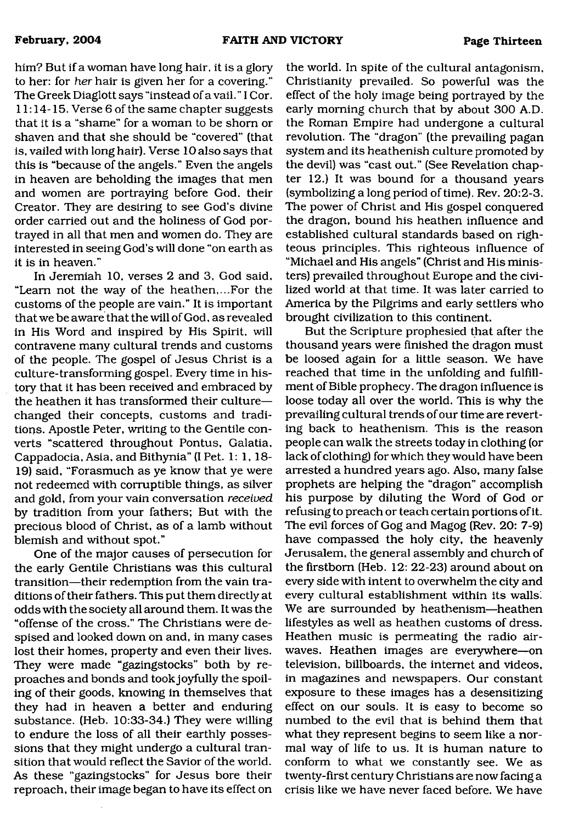him? But if a woman have long hair, it is a glory to her: for *her* hair is given her for a covering." The Greek Diaglott says "instead of a vail." I Cor. 11:14-15. Verse 6 of the same chapter suggests that it is a "shame" for a woman to be shorn or shaven and that she should be "covered" (that is, vailed with long hair). Verse 10 also says that this is "because of the angels." Even the angels in heaven are beholding the images that men and women are portraying before God, their Creator. They are desiring to see God's divine order carried out and the holiness of God portrayed in all that men and women do. They are interested in seeing God's will done "on earth as it is in heaven."

In Jeremiah 10, verses 2 and 3, God said, "Learn not the way of the heathen,...For the customs of the people are vain." It is important that we be aware that the will of God, as revealed in His Word and inspired by His Spirit, will contravene many cultural trends and customs of the people. The gospel of Jesus Christ is a culture-transforming gospel. Every time in history that it has been received and embraced by the heathen it has transformed their culture changed their concepts, customs and traditions. Apostle Peter, writing to the Gentile converts "scattered throughout Pontus, Galatia, Cappadocia, Asia, and Bithynia" (I Pet. 1: 1, 18- 19) said, "Forasmuch as ye know that ye were not redeemed with corruptible things, as silver and gold, from your vain conversation *received* by tradition from your fathers; But with the precious blood of Christ, as of a lamb without blemish and without spot."

One of the major causes of persecution for the early Gentile Christians was this cultural transition—their redemption from the vain traditions of their fathers. This put them directly at odds with the society all around them. It was the "offense of the cross." The Christians were despised and looked down on and, in many cases lost their homes, property and even their lives. They were made "gazingstocks" both by reproaches and bonds and took joyfully the spoiling of their goods, knowing in themselves that they had in heaven a better and enduring substance. (Heb. 10:33-34.) They were willing to endure the loss of all their earthly possessions that they might undergo a cultural transition that would reflect the Savior of the world. As these "gazingstocks" for Jesus bore their reproach, their image began to have its effect on

the world. In spite of the cultural antagonism, Christianity prevailed. So powerful was the effect of the holy image being portrayed by the early morning church that by about 300 A.D. the Roman Empire had undergone a cultural revolution. The "dragon" (the prevailing pagan system and its heathenish culture promoted by the devil) was "cast out." (See Revelation chapter 12.) It was bound for a thousand years (symbolizing a long period of time). Rev. 20:2-3. The power of Christ and His gospel conquered the dragon, bound his heathen influence and established cultural standards based on righteous principles. This righteous influence of "Michael and His angels" (Christ and His ministers) prevailed throughout Europe and the civilized world at that time. It was later carried to America by the Pilgrims and early settlers who brought civilization to this continent.

But the Scripture prophesied that after the thousand years were finished the dragon must be loosed again for a little season. We have reached that time in the unfolding and fulfillment of Bible prophecy. The dragon influence is loose today all over the world. This is why the prevailing cultural trends of our time are reverting back to heathenism. This is the reason people can walk the streets today in clothing (or lack of clothing) for which they would have been arrested a hundred years ago. Also, many false prophets are helping the "dragon" accomplish his purpose by diluting the Word of God or refusing to preach or teach certain portions of it. The evil forces of Gog and Magog (Rev. 20: 7-9) have compassed the holy city, the heavenly Jerusalem, the general assembly and church of the firstborn (Heb. 12: 22-23) around about on every side with intent to overwhelm the city and every cultural establishment within its walls; We are surrounded by heathenism—heathen lifestyles as well as heathen customs of dress. Heathen music is permeating the radio airwaves. Heathen images are everywhere—on television, billboards, the internet and videos, in magazines and newspapers. Our constant exposure to these images has a desensitizing effect on our souls. It is easy to become so numbed to the evil that is behind them that what they represent begins to seem like a normal way of life to us. It is human nature to conform to what we constantly see. We as twenty-first century Christians are now facing a crisis like we have never faced before. We have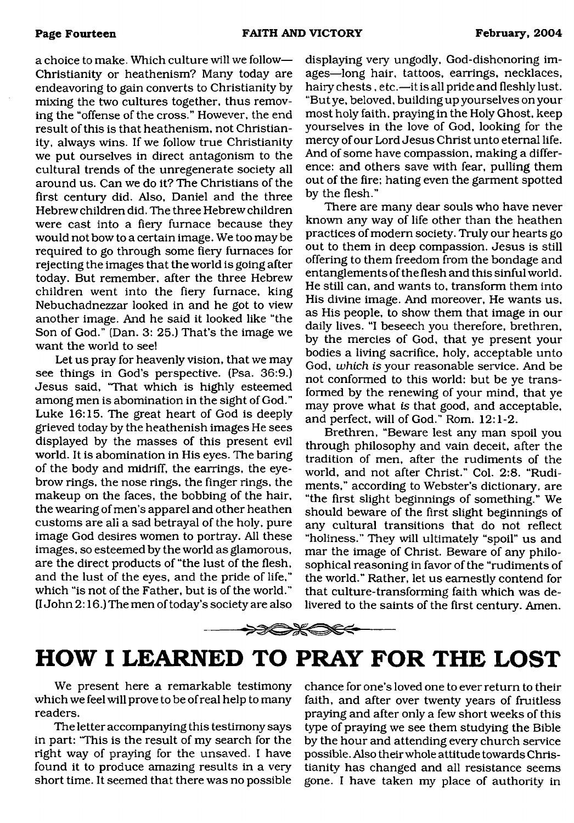a choice to make. Which culture will we follow— Christianity or heathenism? Many today are endeavoring to gain converts to Christianity by mixing the two cultures together, thus removing the "offense of the cross." However, the end result of this is that heathenism, not Christianity, always wins. If we follow true Christianity we put ourselves in direct antagonism to the cultural trends of the unregenerate society all around us. Can we do it? The Christians of the first century did. Also, Daniel and the three Hebrew children did. The three Hebrew children were cast into a fiery furnace because they would not bow to a certain image. We too may be required to go through some fiery furnaces for rejecting the images that the world is going after today. But remember, after the three Hebrew children went into the fiery furnace, king Nebuchadnezzar looked in and he got to view another image. And he said it looked like "the Son of God." (Dan. 3: 25.) That's the image we want the world to see!

Let us pray for heavenly vision, that we may see things in God's perspective. (Psa. 36:9.) Jesus said, "That which is highly esteemed among men is abomination in the sight of God." Luke 16:15. The great heart of God is deeply grieved today by the heathenish images He sees displayed by the masses of this present evil world. It is abomination in His eyes. The baring of the body and midriff, the earrings, the eyebrow rings, the nose rings, the finger rings, the makeup on the faces, the bobbing of the hair, the wearing of men's apparel and other heathen customs are all a sad betrayal of the holy, pure image God desires women to portray. All these images, so esteemed by the world as glamorous, are the direct products of "the lust of the flesh, and the lust of the eyes, and the pride of life," which "is not of the Father, but is of the world." (I John 2:16.) The men of today's society are also

displaying very ungodly, God-dishonoring images—long hair, tattoos, earrings, necklaces, hairy chests, etc.—it is all pride and fleshly lust. "But ye, beloved, building up yourselves on your most holy faith, praying in the Holy Ghost, keep yourselves in the love of God, looking for the mercy of our Lord Jesus Christ unto eternal life. And of some have compassion, making a difference: and others save with fear, pulling them out of the fire; hating even the garment spotted by the flesh."

There are many dear souls who have never known any way of life other than the heathen practices of modern society. Truly our hearts go out to them in deep compassion. Jesus is still offering to them freedom from the bondage and entanglements of the flesh and this sinful world. He still can, and wants to, transform them into His divine image. And moreover, He wants us, as His people, to show them that image in our daily lives. "I beseech you therefore, brethren, by the mercies of God, that ye present your bodies a living sacrifice, holy, acceptable unto God, *which is* your reasonable service. And be not conformed to this world: but be ye transformed by the renewing of your mind, that ye may prove what *is* that good, and acceptable, and perfect, will of God." Rom. 12:1-2.

Brethren, "Beware lest any man spoil you through philosophy and vain deceit, after the tradition of men, after the rudiments of the world, and not after Christ." Col. 2:8. "Rudiments," according to Webster's dictionary, are "the first slight beginnings of something." We should beware of the first slight beginnings of any cultural transitions that do not reflect "holiness." They will ultimately "spoil" us and mar the image of Christ. Beware of any philosophical reasoning in favor of the "rudiments of the world." Rather, let us earnestly contend for that culture-transforming faith which was delivered to the saints of the first century. Amen.

# <span id="page-13-0"></span>**HOW I LEARNED TO PRAY FOR THE LOST**

>≫C>Ж⇔€<

We present here a remarkable testimony which we feel will prove to be of real help to many readers.

The letter accompanying this testimony says in part: 'This is the result of my search for the right way of praying for the unsaved. I have found it to produce amazing results in a very short time. It seemed that there was no possible

chance for one's loved one to ever return to their faith, and after over twenty years of fruitless praying and after only a few short weeks of this type of praying we see them studying the Bible by the hour and attending every church service possible. Also their whole attitude towards Christianity has changed and all resistance seems gone. I have taken my place of authority in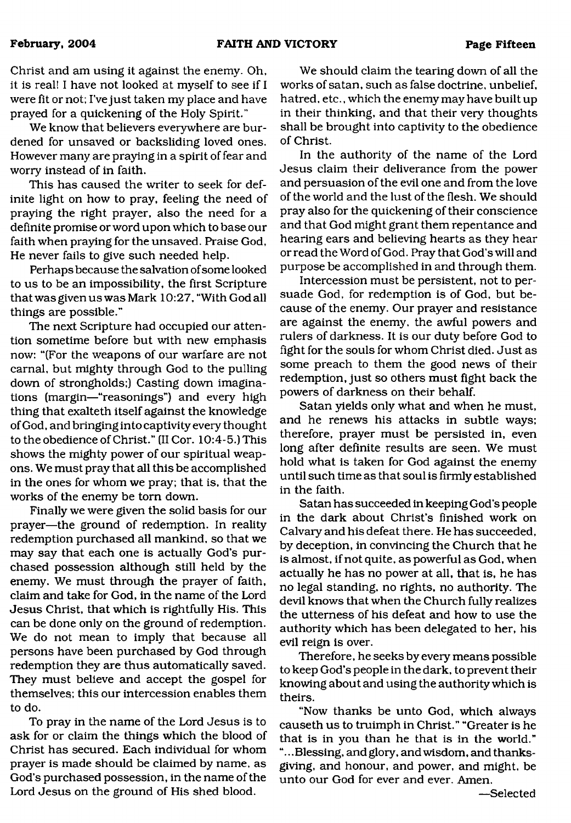Christ and am using it against the enemy. Oh, it is real! I have not looked at myself to see if I were fit or not; I've just taken my place and have prayed for a quickening of the Holy Spirit."

We know that believers everywhere are burdened for unsaved or backsliding loved ones. However many are praying in a spirit of fear and worry instead of in faith.

This has caused the writer to seek for definite light on how to pray, feeling the need of praying the right prayer, also the need for a definite promise or word upon which to base our faith when praying for the unsaved. Praise God, He never fails to give such needed help.

Perhaps because the salvation of some looked to us to be an impossibility, the first Scripture that was given us was Mark 10:27, "With God all things are possible."

The next Scripture had occupied our attention sometime before but with new emphasis now: "(For the weapons of our warfare are not carnal, but mighty through God to the pulling down of strongholds;) Casting down imaginations (margin—"reasonings") and every high thing that exalteth itself against the knowledge of God, and bringing into captivity every thought to the obedience of Christ." (II Cor. 10:4-5.) This shows the mighty power of our spiritual weapons. We must pray that all this be accomplished in the ones for whom we pray; that is, that the works of the enemy be tom down.

Finally we were given the solid basis for our prayer—the ground of redemption. In reality redemption purchased all mankind, so that we may say that each one is actually God's purchased possession although still held by the enemy. We must through the prayer of faith, claim and take for God, in the name of the Lord Jesus Christ, that which is rightfully His. This can be done only on the ground of redemption. We do not mean to imply that because all persons have been purchased by God through redemption they are thus automatically saved. They must believe and accept the gospel for themselves; this our intercession enables them to do.

To pray in the name of the Lord Jesus is to ask for or claim the things which the blood of Christ has secured. Each individual for whom prayer is made should be claimed by name, as God's purchased possession, in the name of the Lord Jesus on the ground of His shed blood.

We should claim the tearing down of all the works of satan, such as false doctrine, unbelief, hatred, etc., which the enemy may have built up in their thinking, and that their very thoughts shall be brought into captivity to the obedience of Christ.

In the authority of the name of the Lord Jesus claim their deliverance from the power and persuasion of the evil one and from the love of the world and the lust of the flesh. We should pray also for the quickening of their conscience and that God might grant them repentance and hearing ears and believing hearts as they hear or read the Word of God. Pray that God's will and purpose be accomplished in and through them.

Intercession must be persistent, not to persuade God, for redemption is of God, but because of the enemy. Our prayer and resistance are against the enemy, the awful powers and rulers of darkness. It is our duty before God to fight for the souls for whom Christ died. Just as some preach to them the good news of their redemption, just so others must fight back the powers of darkness on their behalf.

Satan yields only what and when he must, and he renews his attacks in subtle ways; therefore, prayer must be persisted in, even long after definite results are seen. We must hold what is taken for God against the enemy until such time as that soul is firmly established in the faith.

Satan has succeeded in keeping God's people in the dark about Christ's finished work on Calvary and his defeat there. He has succeeded, by deception, in convincing the Church that he is almost, if not quite, as powerful as God, when actually he has no power at all, that is, he has no legal standing, no rights, no authority. The devil knows that when the Church fully realizes the utterness of his defeat and how to use the authority which has been delegated to her, his evil reign is over.

Therefore, he seeks by every means possible to keep God's people in the dark, to prevent their knowing about and using the authority which is theirs.

"Now thanks be unto God, which always causeth us to truimph in Christ." "Greater is he that is in you than he that is in the world." "...Blessing, and glory, and wisdom, and thanksgiving, and honour, and power, and might, be unto our God for ever and ever. Amen.